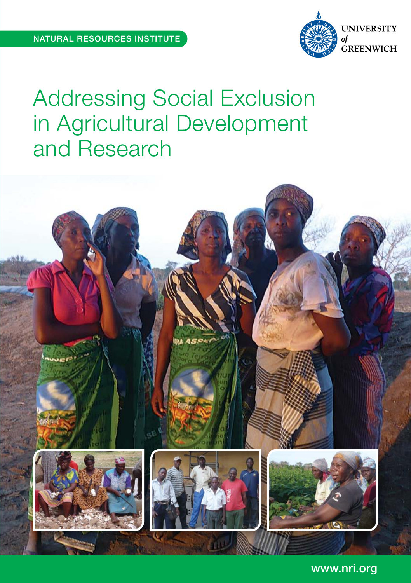

# Addressing Social Exclusion in Agricultural Development and Research



www.nri.org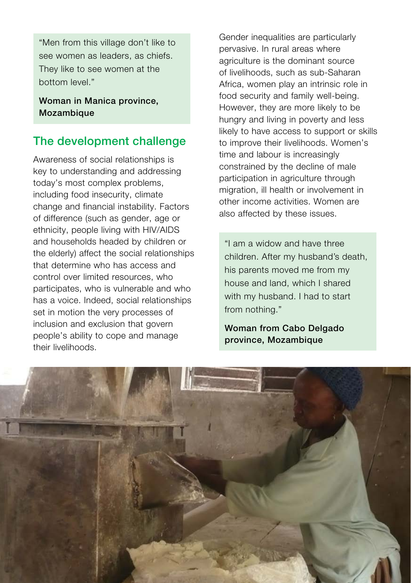"Men from this village don't like to see women as leaders, as chiefs. They like to see women at the bottom level."

Woman in Manica province, **Mozambique** 

## The development challenge

Awareness of social relationships is key to understanding and addressing today's most complex problems, including food insecurity, climate change and financial instability. Factors of difference (such as gender, age or ethnicity, people living with HIV/AIDS and households headed by children or the elderly) affect the social relationships that determine who has access and control over limited resources, who participates, who is vulnerable and who has a voice. Indeed, social relationships set in motion the very processes of inclusion and exclusion that govern people's ability to cope and manage their livelihoods.

Gender inequalities are particularly pervasive. In rural areas where agriculture is the dominant source of livelihoods, such as sub-Saharan Africa, women play an intrinsic role in food security and family well-being. However, they are more likely to be hungry and living in poverty and less likely to have access to support or skills to improve their livelihoods. Women's time and labour is increasingly constrained by the decline of male participation in agriculture through migration, ill health or involvement in other income activities. Women are also affected by these issues.

"I am a widow and have three children. After my husband's death, his parents moved me from my house and land, which I shared with my husband. I had to start from nothing."

Woman from Cabo Delgado province, Mozambique

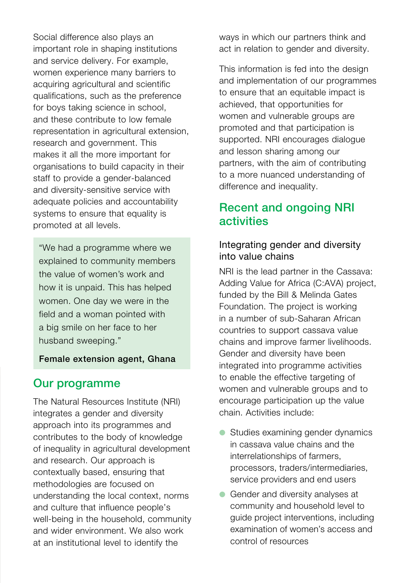Social difference also plays an important role in shaping institutions and service delivery. For example, women experience many barriers to acquiring agricultural and scientific qualifications, such as the preference for boys taking science in school, and these contribute to low female representation in agricultural extension, research and government. This makes it all the more important for organisations to build capacity in their staff to provide a gender-balanced and diversity-sensitive service with adequate policies and accountability systems to ensure that equality is promoted at all levels.

"We had a programme where we explained to community members the value of women's work and how it is unpaid. This has helped women. One day we were in the field and a woman pointed with a big smile on her face to her husband sweeping."

#### Female extension agent, Ghana

### Our programme

The Natural Resources Institute (NRI) integrates a gender and diversity approach into its programmes and contributes to the body of knowledge of inequality in agricultural development and research. Our approach is contextually based, ensuring that methodologies are focused on understanding the local context, norms and culture that influence people's well-being in the household, community and wider environment. We also work at an institutional level to identify the

ways in which our partners think and act in relation to gender and diversity.

This information is fed into the design and implementation of our programmes to ensure that an equitable impact is achieved, that opportunities for women and vulnerable groups are promoted and that participation is supported. NRI encourages dialogue and lesson sharing among our partners, with the aim of contributing to a more nuanced understanding of difference and inequality.

## Recent and ongoing NRI activities

#### Integrating gender and diversity into value chains

NRI is the lead partner in the Cassava: Adding Value for Africa (C:AVA) project, funded by the Bill & Melinda Gates Foundation. The project is working in a number of sub-Saharan African countries to support cassava value chains and improve farmer livelihoods. Gender and diversity have been integrated into programme activities to enable the effective targeting of women and vulnerable groups and to encourage participation up the value chain. Activities include:

- Studies examining gender dynamics in cassava value chains and the interrelationships of farmers, processors, traders/intermediaries, service providers and end users
- Gender and diversity analyses at community and household level to guide project interventions, including examination of women's access and control of resources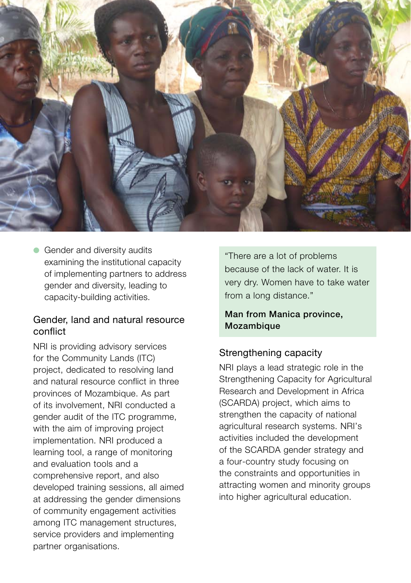

● Gender and diversity audits examining the institutional capacity of implementing partners to address gender and diversity, leading to capacity-building activities.

#### Gender, land and natural resource conflict

NRI is providing advisory services for the Community Lands (ITC) project, dedicated to resolving land and natural resource conflict in three provinces of Mozambique. As part of its involvement, NRI conducted a gender audit of the ITC programme, with the aim of improving project implementation. NRI produced a learning tool, a range of monitoring and evaluation tools and a comprehensive report, and also developed training sessions, all aimed at addressing the gender dimensions of community engagement activities among ITC management structures, service providers and implementing partner organisations.

"There are a lot of problems because of the lack of water. It is very dry. Women have to take water from a long distance."

#### Man from Manica province, Mozambique

### Strengthening capacity

NRI plays a lead strategic role in the Strengthening Capacity for Agricultural Research and Development in Africa (SCARDA) project, which aims to strengthen the capacity of national agricultural research systems. NRI's activities included the development of the SCARDA gender strategy and a four-country study focusing on the constraints and opportunities in attracting women and minority groups into higher agricultural education.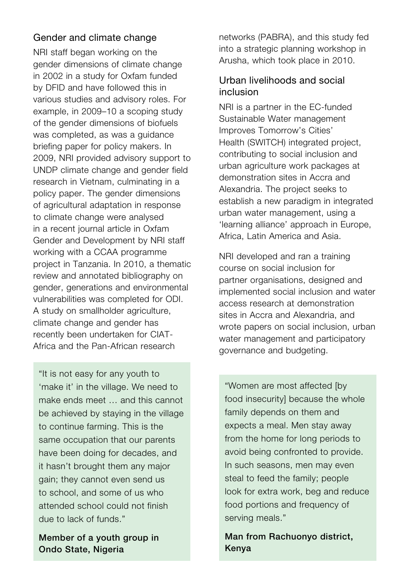### Gender and climate change

NRI staff began working on the gender dimensions of climate change in 2002 in a study for Oxfam funded by DFID and have followed this in various studies and advisory roles. For example, in 2009–10 a scoping study of the gender dimensions of biofuels was completed, as was a guidance briefing paper for policy makers. In 2009, NRI provided advisory support to UNDP climate change and gender field research in Vietnam, culminating in a policy paper. The gender dimensions of agricultural adaptation in response to climate change were analysed in a recent journal article in Oxfam Gender and Development by NRI staff working with a CCAA programme project in Tanzania. In 2010, a thematic review and annotated bibliography on gender, generations and environmental vulnerabilities was completed for ODI. A study on smallholder agriculture, climate change and gender has recently been undertaken for CIAT-Africa and the Pan-African research

"It is not easy for any youth to 'make it' in the village. We need to make ends meet … and this cannot be achieved by staying in the village to continue farming. This is the same occupation that our parents have been doing for decades, and it hasn't brought them any major gain; they cannot even send us to school, and some of us who attended school could not finish due to lack of funds."

Member of a youth group in Ondo State, Nigeria

networks (PABRA), and this study fed into a strategic planning workshop in Arusha, which took place in 2010.

## Urban livelihoods and social inclusion

NRI is a partner in the EC-funded Sustainable Water management Improves Tomorrow's Cities' Health (SWITCH) integrated project, contributing to social inclusion and urban agriculture work packages at demonstration sites in Accra and Alexandria. The project seeks to establish a new paradigm in integrated urban water management, using a 'learning alliance' approach in Europe, Africa, Latin America and Asia.

NRI developed and ran a training course on social inclusion for partner organisations, designed and implemented social inclusion and water access research at demonstration sites in Accra and Alexandria, and wrote papers on social inclusion, urban water management and participatory governance and budgeting.

"Women are most affected [by food insecurity] because the whole family depends on them and expects a meal. Men stay away from the home for long periods to avoid being confronted to provide. In such seasons, men may even steal to feed the family; people look for extra work, beg and reduce food portions and frequency of serving meals."

Man from Rachuonyo district, Kenya